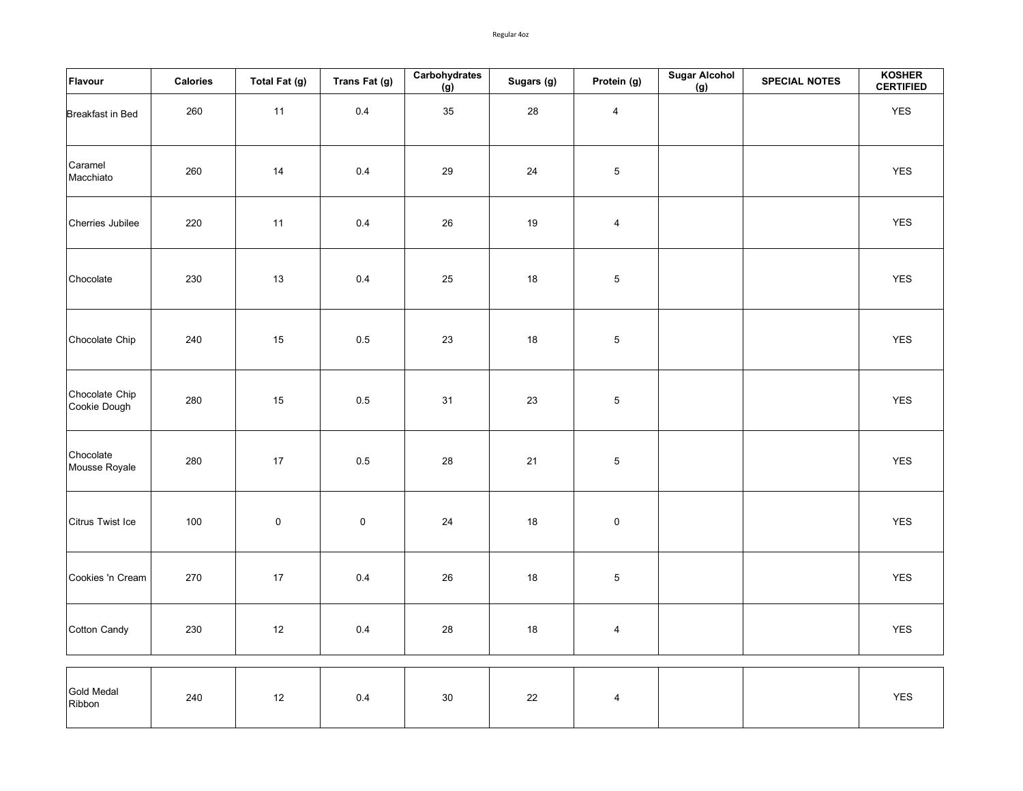Regular 4oz

| Flavour                        | Calories | Total Fat (g) | Trans Fat (g) | Carbohydrates<br>$\overline{g}$ | Sugars (g) | Protein (g)    | <b>Sugar Alcohol</b><br>(g) | <b>SPECIAL NOTES</b> | KOSHER<br><b>CERTIFIED</b> |
|--------------------------------|----------|---------------|---------------|---------------------------------|------------|----------------|-----------------------------|----------------------|----------------------------|
| Breakfast in Bed               | 260      | 11            | 0.4           | 35                              | 28         | $\overline{4}$ |                             |                      | YES                        |
| Caramel<br>Macchiato           | 260      | 14            | 0.4           | 29                              | 24         | $5\,$          |                             |                      | <b>YES</b>                 |
| Cherries Jubilee               | 220      | 11            | 0.4           | $26\,$                          | 19         | $\overline{4}$ |                             |                      | YES                        |
| Chocolate                      | 230      | 13            | 0.4           | 25                              | 18         | 5              |                             |                      | <b>YES</b>                 |
| Chocolate Chip                 | 240      | 15            | 0.5           | 23                              | 18         | 5              |                             |                      | YES                        |
| Chocolate Chip<br>Cookie Dough | 280      | 15            | $0.5\,$       | 31                              | $23\,$     | $\,$ 5 $\,$    |                             |                      | YES                        |
| Chocolate<br>Mousse Royale     | 280      | 17            | 0.5           | ${\bf 28}$                      | 21         | $\mathbf 5$    |                             |                      | <b>YES</b>                 |
| Citrus Twist Ice               | 100      | $\pmb{0}$     | $\pmb{0}$     | 24                              | 18         | $\pmb{0}$      |                             |                      | <b>YES</b>                 |
| Cookies 'n Cream               | 270      | $17$          | 0.4           | 26                              | $18$       | $\,$ 5 $\,$    |                             |                      | YES                        |
| Cotton Candy                   | 230      | 12            | 0.4           | 28                              | 18         | 4              |                             |                      | YES                        |
| Gold Medal<br>Ribbon           | 240      | $12$          | 0.4           | $30\,$                          | 22         | $\overline{4}$ |                             |                      | YES                        |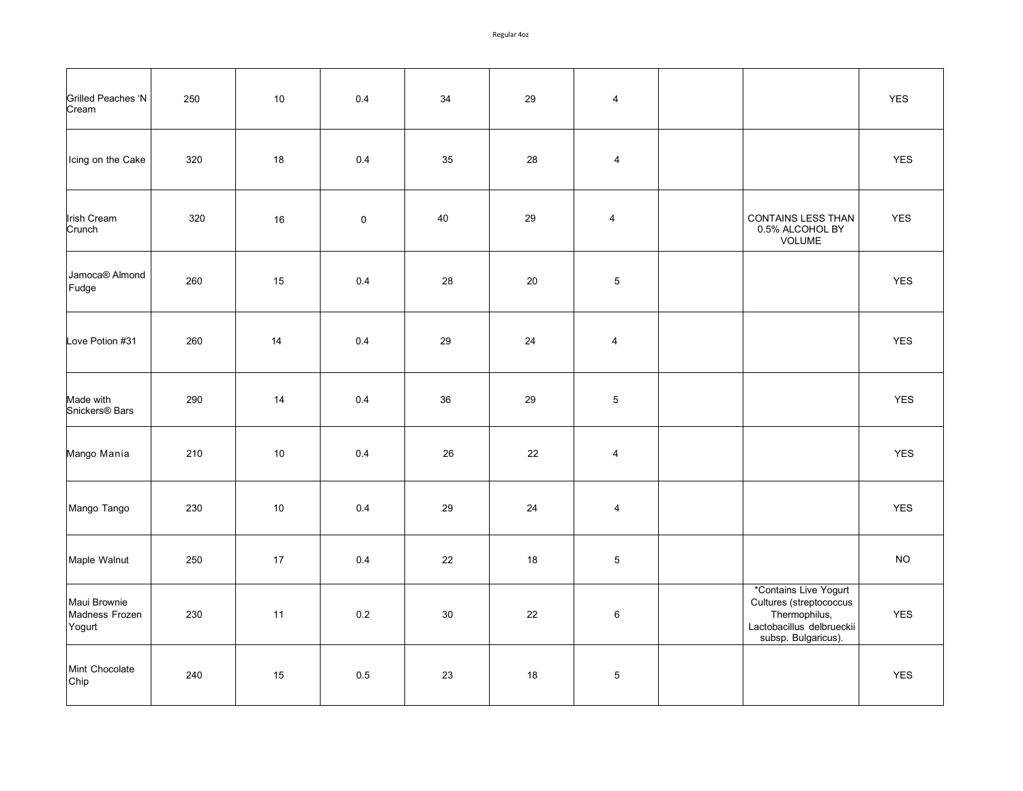| Grilled Peaches 'N<br>Cream              | 250 | 10 | 0.4       | 34 | 29 | $\overline{4}$ |                                                                                                                       | <b>YES</b> |
|------------------------------------------|-----|----|-----------|----|----|----------------|-----------------------------------------------------------------------------------------------------------------------|------------|
| Icing on the Cake                        | 320 | 18 | 0.4       | 35 | 28 | 4              |                                                                                                                       | <b>YES</b> |
| <b>Irish Cream</b><br>Crunch             | 320 | 16 | $\pmb{0}$ | 40 | 29 | $\overline{4}$ | CONTAINS LESS THAN<br>0.5% ALCOHOL BY<br>VOLUME                                                                       | <b>YES</b> |
| Jamoca® Almond<br>Fudge                  | 260 | 15 | 0.4       | 28 | 20 | 5              |                                                                                                                       | <b>YES</b> |
| Love Potion #31                          | 260 | 14 | 0.4       | 29 | 24 | $\overline{4}$ |                                                                                                                       | <b>YES</b> |
| Made with<br>Snickers <sup>®</sup> Bars  | 290 | 14 | 0.4       | 36 | 29 | $\,$ 5 $\,$    |                                                                                                                       | <b>YES</b> |
| Mango Mania                              | 210 | 10 | 0.4       | 26 | 22 | $\overline{4}$ |                                                                                                                       | YES        |
| Mango Tango                              | 230 | 10 | 0.4       | 29 | 24 | 4              |                                                                                                                       | YES        |
| Maple Walnut                             | 250 | 17 | 0.4       | 22 | 18 | 5              |                                                                                                                       | <b>NO</b>  |
| Maui Brownie<br>Madness Frozen<br>Yogurt | 230 | 11 | 0.2       | 30 | 22 | 6              | *Contains Live Yogurt<br>Cultures (streptococcus<br>Thermophilus,<br>Lactobacillus delbrueckii<br>subsp. Bulgaricus). | YES        |
| Mint Chocolate<br>Chip                   | 240 | 15 | 0.5       | 23 | 18 | 5              |                                                                                                                       | <b>YES</b> |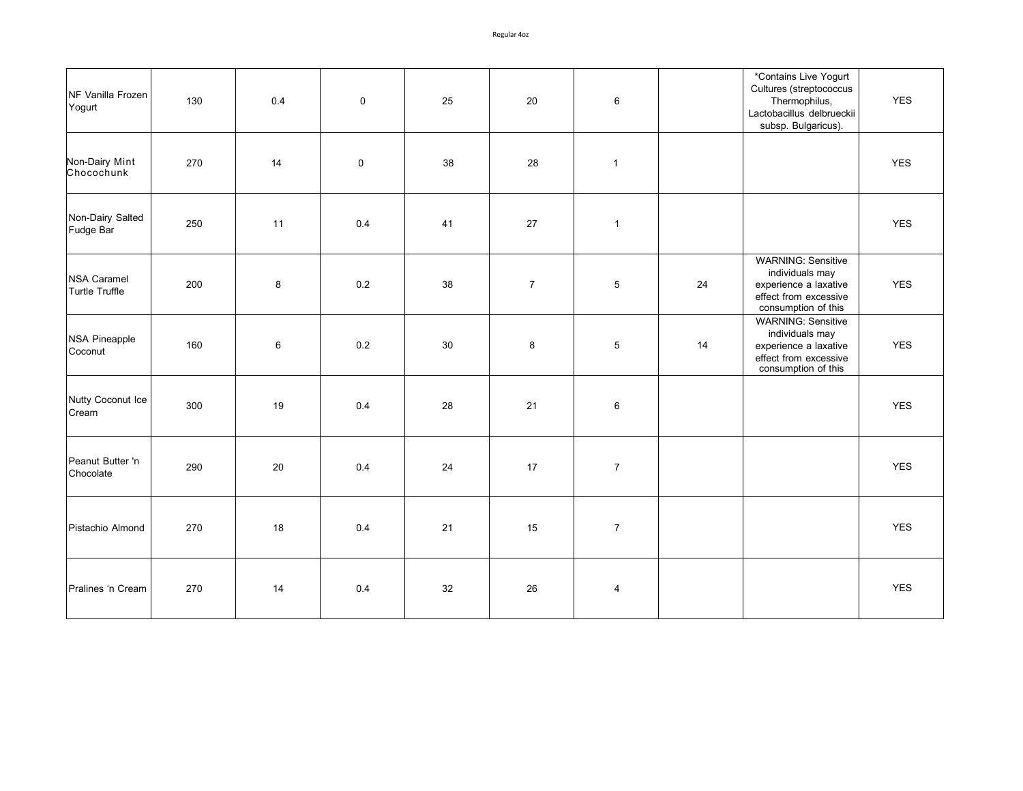| NF Vanilla Frozen<br>Yogurt                 | 130 | 0.4 | $\mathbf 0$ | 25 | 20             | 6              |    | *Contains Live Yogurt<br>Cultures (streptococcus<br>Thermophilus,<br>Lactobacillus delbrueckii<br>subsp. Bulgaricus). | <b>YES</b> |
|---------------------------------------------|-----|-----|-------------|----|----------------|----------------|----|-----------------------------------------------------------------------------------------------------------------------|------------|
| Non-Dairy Mint<br>Chocochunk                | 270 | 14  | $\mathbf 0$ | 38 | 28             | $\mathbf{1}$   |    |                                                                                                                       | <b>YES</b> |
| Non-Dairy Salted<br>Fudge Bar               | 250 | 11  | 0.4         | 41 | $27\,$         | $\mathbf{1}$   |    |                                                                                                                       | <b>YES</b> |
| <b>NSA Caramel</b><br><b>Turtle Truffle</b> | 200 | 8   | $0.2\,$     | 38 | $\overline{7}$ | 5              | 24 | <b>WARNING: Sensitive</b><br>individuals may<br>experience a laxative<br>effect from excessive<br>consumption of this | <b>YES</b> |
| <b>NSA Pineapple</b><br>Coconut             | 160 | 6   | 0.2         | 30 | 8              | $\,$ 5 $\,$    | 14 | <b>WARNING: Sensitive</b><br>individuals may<br>experience a laxative<br>effect from excessive<br>consumption of this | <b>YES</b> |
| Nutty Coconut Ice<br>Cream                  | 300 | 19  | 0.4         | 28 | 21             | $\,6\,$        |    |                                                                                                                       | <b>YES</b> |
| Peanut Butter 'n<br>Chocolate               | 290 | 20  | 0.4         | 24 | 17             | $\overline{7}$ |    |                                                                                                                       | <b>YES</b> |
| Pistachio Almond                            | 270 | 18  | 0.4         | 21 | 15             | $\overline{7}$ |    |                                                                                                                       | <b>YES</b> |
| Pralines 'n Cream                           | 270 | 14  | 0.4         | 32 | 26             | 4              |    |                                                                                                                       | <b>YES</b> |